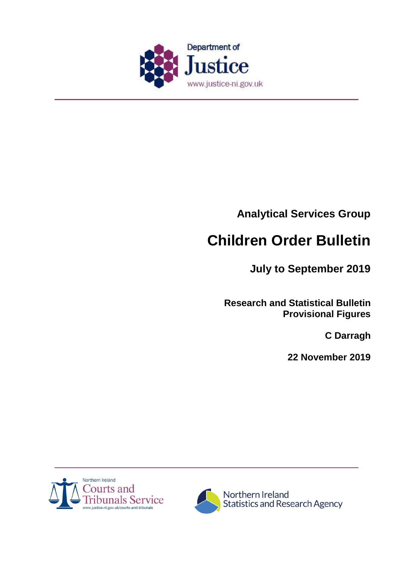

**Analytical Services Group** 

# **Children Order Bulletin**

**July to September 2019**

**Research and Statistical Bulletin Provisional Figures**

**C Darragh**

**22 November 2019**



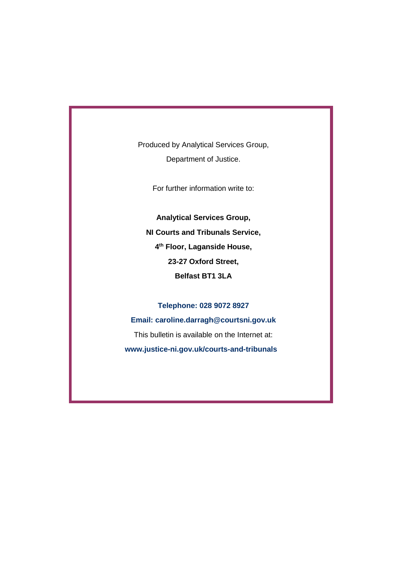Produced by Analytical Services Group, Department of Justice.

For further information write to:

**Analytical Services Group, NI Courts and Tribunals Service, 4 th Floor, Laganside House, 23-27 Oxford Street, Belfast BT1 3LA**

**Telephone: 028 9072 8927 Email: caroline.darragh@courtsni.gov.uk** This bulletin is available on the Internet at: **www.justice-ni.gov.uk/courts-and-tribunals**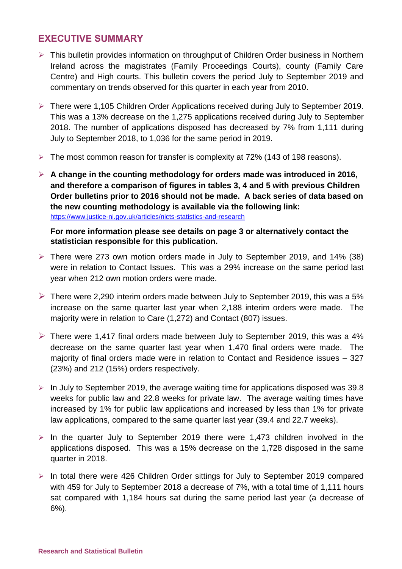# **EXECUTIVE SUMMARY**

- $\triangleright$  This bulletin provides information on throughput of Children Order business in Northern Ireland across the magistrates (Family Proceedings Courts), county (Family Care Centre) and High courts. This bulletin covers the period July to September 2019 and commentary on trends observed for this quarter in each year from 2010.
- There were 1,105 Children Order Applications received during July to September 2019. This was a 13% decrease on the 1,275 applications received during July to September 2018. The number of applications disposed has decreased by 7% from 1,111 during July to September 2018, to 1,036 for the same period in 2019.
- The most common reason for transfer is complexity at 72% (143 of 198 reasons).
- **A change in the counting methodology for orders made was introduced in 2016, and therefore a comparison of figures in tables 3, 4 and 5 with previous Children Order bulletins prior to 2016 should not be made. A back series of data based on the new counting methodology is available via the following link:** <https://www.justice-ni.gov.uk/articles/nicts-statistics-and-research>

## **For more information please see details on page 3 or alternatively contact the statistician responsible for this publication.**

- There were 273 own motion orders made in July to September 2019, and 14% (38) were in relation to Contact Issues. This was a 29% increase on the same period last year when 212 own motion orders were made.
- $\triangleright$  There were 2,290 interim orders made between July to September 2019, this was a 5% increase on the same quarter last year when 2,188 interim orders were made. The majority were in relation to Care (1,272) and Contact (807) issues.
- $\triangleright$  There were 1,417 final orders made between July to September 2019, this was a 4% decrease on the same quarter last year when 1,470 final orders were made. The majority of final orders made were in relation to Contact and Residence issues – 327 (23%) and 212 (15%) orders respectively.
- $\triangleright$  In July to September 2019, the average waiting time for applications disposed was 39.8 weeks for public law and 22.8 weeks for private law. The average waiting times have increased by 1% for public law applications and increased by less than 1% for private law applications, compared to the same quarter last year (39.4 and 22.7 weeks).
- $\triangleright$  In the quarter July to September 2019 there were 1,473 children involved in the applications disposed. This was a 15% decrease on the 1,728 disposed in the same quarter in 2018.
- $\triangleright$  In total there were 426 Children Order sittings for July to September 2019 compared with 459 for July to September 2018 a decrease of 7%, with a total time of 1,111 hours sat compared with 1,184 hours sat during the same period last year (a decrease of 6%).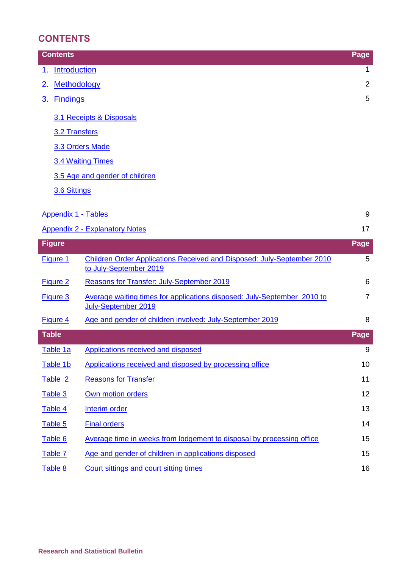# **CONTENTS**

| <b>Contents</b>                | Page           |
|--------------------------------|----------------|
| <b>Introduction</b><br>1.      | $\mathbf{1}$   |
| 2. Methodology                 | $\overline{2}$ |
| <b>Findings</b><br>3.          | 5              |
| 3.1 Receipts & Disposals       |                |
| 3.2 Transfers                  |                |
| 3.3 Orders Made                |                |
| 3.4 Waiting Times              |                |
| 3.5 Age and gender of children |                |
| 3.6 Sittings                   |                |
|                                |                |

| Appendix 1 - Tables                   |  |
|---------------------------------------|--|
| <b>Appendix 2 - Explanatory Notes</b> |  |

| <b>Figure</b>   |                                                                                                  | Page           |
|-----------------|--------------------------------------------------------------------------------------------------|----------------|
| Figure 1        | Children Order Applications Received and Disposed: July-September 2010<br>to July-September 2019 | 5              |
| Figure 2        | Reasons for Transfer: July-September 2019                                                        | 6              |
| <b>Figure 3</b> | Average waiting times for applications disposed: July-September 2010 to<br>July-September 2019   | $\overline{7}$ |
| Figure 4        | Age and gender of children involved: July-September 2019                                         | 8              |
| <b>Table</b>    |                                                                                                  | Page           |
| Table 1a        | <b>Applications received and disposed</b>                                                        | 9              |
| Table 1b        | Applications received and disposed by processing office                                          | 10             |
| Table 2         | <b>Reasons for Transfer</b>                                                                      | 11             |
| Table 3         | Own motion orders                                                                                | 12             |
| Table 4         | <b>Interim order</b>                                                                             | 13             |
| Table 5         | <b>Final orders</b>                                                                              | 14             |
| Table 6         | Average time in weeks from lodgement to disposal by processing office                            | 15             |
| Table 7         | Age and gender of children in applications disposed                                              | 15             |
| Table 8         | Court sittings and court sitting times                                                           | 16             |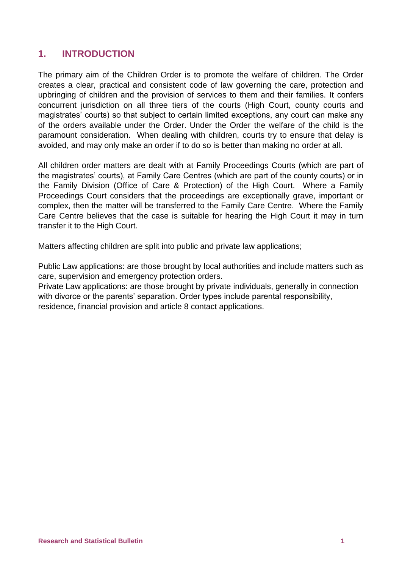# <span id="page-4-0"></span>**1. INTRODUCTION**

The primary aim of the Children Order is to promote the welfare of children. The Order creates a clear, practical and consistent code of law governing the care, protection and upbringing of children and the provision of services to them and their families. It confers concurrent jurisdiction on all three tiers of the courts (High Court, county courts and magistrates' courts) so that subject to certain limited exceptions, any court can make any of the orders available under the Order. Under the Order the welfare of the child is the paramount consideration. When dealing with children, courts try to ensure that delay is avoided, and may only make an order if to do so is better than making no order at all.

All children order matters are dealt with at Family Proceedings Courts (which are part of the magistrates' courts), at Family Care Centres (which are part of the county courts) or in the Family Division (Office of Care & Protection) of the High Court. Where a Family Proceedings Court considers that the proceedings are exceptionally grave, important or complex, then the matter will be transferred to the Family Care Centre. Where the Family Care Centre believes that the case is suitable for hearing the High Court it may in turn transfer it to the High Court.

Matters affecting children are split into public and private law applications;

Public Law applications: are those brought by local authorities and include matters such as care, supervision and emergency protection orders.

Private Law applications: are those brought by private individuals, generally in connection with divorce or the parents' separation. Order types include parental responsibility, residence, financial provision and article 8 contact applications.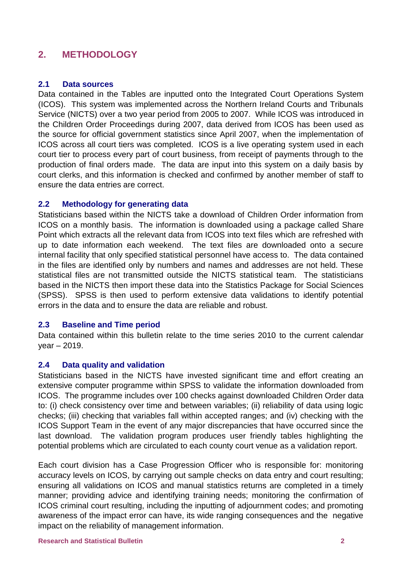# <span id="page-5-0"></span>**2. METHODOLOGY**

#### **2.1 Data sources**

Data contained in the Tables are inputted onto the Integrated Court Operations System (ICOS). This system was implemented across the Northern Ireland Courts and Tribunals Service (NICTS) over a two year period from 2005 to 2007. While ICOS was introduced in the Children Order Proceedings during 2007, data derived from ICOS has been used as the source for official government statistics since April 2007, when the implementation of ICOS across all court tiers was completed. ICOS is a live operating system used in each court tier to process every part of court business, from receipt of payments through to the production of final orders made. The data are input into this system on a daily basis by court clerks, and this information is checked and confirmed by another member of staff to ensure the data entries are correct.

#### **2.2 Methodology for generating data**

Statisticians based within the NICTS take a download of Children Order information from ICOS on a monthly basis. The information is downloaded using a package called Share Point which extracts all the relevant data from ICOS into text files which are refreshed with up to date information each weekend. The text files are downloaded onto a secure internal facility that only specified statistical personnel have access to. The data contained in the files are identified only by numbers and names and addresses are not held. These statistical files are not transmitted outside the NICTS statistical team. The statisticians based in the NICTS then import these data into the Statistics Package for Social Sciences (SPSS). SPSS is then used to perform extensive data validations to identify potential errors in the data and to ensure the data are reliable and robust.

#### **2.3 Baseline and Time period**

Data contained within this bulletin relate to the time series 2010 to the current calendar year – 2019.

#### **2.4 Data quality and validation**

Statisticians based in the NICTS have invested significant time and effort creating an extensive computer programme within SPSS to validate the information downloaded from ICOS. The programme includes over 100 checks against downloaded Children Order data to: (i) check consistency over time and between variables; (ii) reliability of data using logic checks; (iii) checking that variables fall within accepted ranges; and (iv) checking with the ICOS Support Team in the event of any major discrepancies that have occurred since the last download. The validation program produces user friendly tables highlighting the potential problems which are circulated to each county court venue as a validation report.

Each court division has a Case Progression Officer who is responsible for: monitoring accuracy levels on ICOS, by carrying out sample checks on data entry and court resulting; ensuring all validations on ICOS and manual statistics returns are completed in a timely manner; providing advice and identifying training needs; monitoring the confirmation of ICOS criminal court resulting, including the inputting of adjournment codes; and promoting awareness of the impact error can have, its wide ranging consequences and the negative impact on the reliability of management information.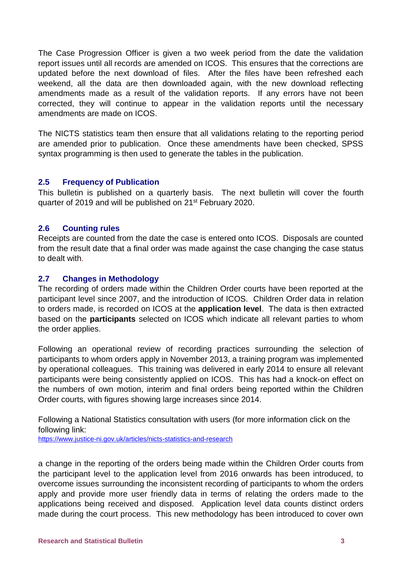The Case Progression Officer is given a two week period from the date the validation report issues until all records are amended on ICOS. This ensures that the corrections are updated before the next download of files. After the files have been refreshed each weekend, all the data are then downloaded again, with the new download reflecting amendments made as a result of the validation reports. If any errors have not been corrected, they will continue to appear in the validation reports until the necessary amendments are made on ICOS.

The NICTS statistics team then ensure that all validations relating to the reporting period are amended prior to publication. Once these amendments have been checked, SPSS syntax programming is then used to generate the tables in the publication.

## **2.5 Frequency of Publication**

This bulletin is published on a quarterly basis. The next bulletin will cover the fourth quarter of 2019 and will be published on 21st February 2020.

## **2.6 Counting rules**

Receipts are counted from the date the case is entered onto ICOS. Disposals are counted from the result date that a final order was made against the case changing the case status to dealt with.

## **2.7 Changes in Methodology**

The recording of orders made within the Children Order courts have been reported at the participant level since 2007, and the introduction of ICOS. Children Order data in relation to orders made, is recorded on ICOS at the **application level**. The data is then extracted based on the **participants** selected on ICOS which indicate all relevant parties to whom the order applies.

Following an operational review of recording practices surrounding the selection of participants to whom orders apply in November 2013, a training program was implemented by operational colleagues. This training was delivered in early 2014 to ensure all relevant participants were being consistently applied on ICOS. This has had a knock-on effect on the numbers of own motion, interim and final orders being reported within the Children Order courts, with figures showing large increases since 2014.

Following a National Statistics consultation with users (for more information click on the following link:

<https://www.justice-ni.gov.uk/articles/nicts-statistics-and-research>

a change in the reporting of the orders being made within the Children Order courts from the participant level to the application level from 2016 onwards has been introduced, to overcome issues surrounding the inconsistent recording of participants to whom the orders apply and provide more user friendly data in terms of relating the orders made to the applications being received and disposed. Application level data counts distinct orders made during the court process. This new methodology has been introduced to cover own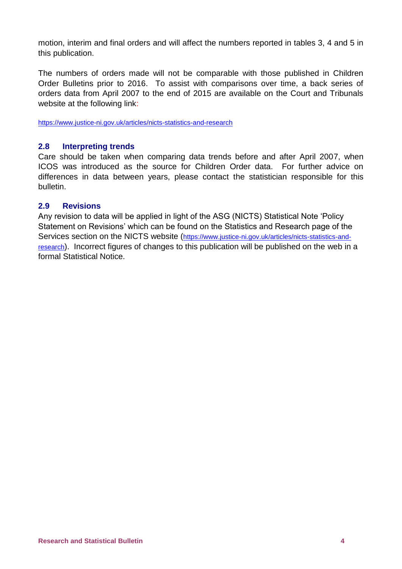motion, interim and final orders and will affect the numbers reported in tables 3, 4 and 5 in this publication.

The numbers of orders made will not be comparable with those published in Children Order Bulletins prior to 2016. To assist with comparisons over time, a back series of orders data from April 2007 to the end of 2015 are available on the Court and Tribunals website at the following link:

<https://www.justice-ni.gov.uk/articles/nicts-statistics-and-research>

#### **2.8 Interpreting trends**

Care should be taken when comparing data trends before and after April 2007, when ICOS was introduced as the source for Children Order data. For further advice on differences in data between years, please contact the statistician responsible for this bulletin.

#### **2.9 Revisions**

Any revision to data will be applied in light of the ASG (NICTS) Statistical Note 'Policy Statement on Revisions' which can be found on the Statistics and Research page of the Services section on the NICTS website ([https://www.justice-ni.gov.uk/articles/nicts-statistics-and](https://www.justice-ni.gov.uk/articles/nicts-statistics-and-research)[research](https://www.justice-ni.gov.uk/articles/nicts-statistics-and-research)). Incorrect figures of changes to this publication will be published on the web in a formal Statistical Notice.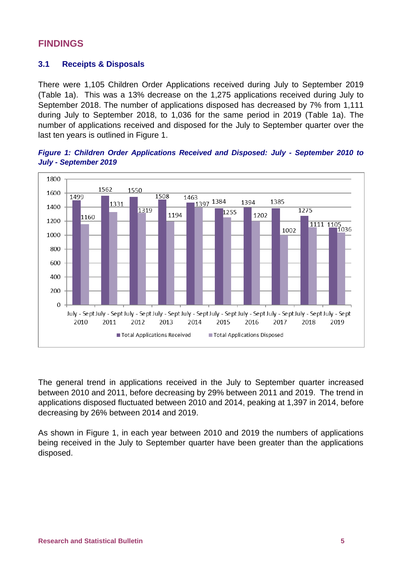# **FINDINGS**

## <span id="page-8-0"></span>**3.1 Receipts & Disposals**

There were 1,105 Children Order Applications received during July to September 2019 (Table 1a). This was a 13% decrease on the 1,275 applications received during July to September 2018. The number of applications disposed has decreased by 7% from 1,111 during July to September 2018, to 1,036 for the same period in 2019 (Table 1a). The number of applications received and disposed for the July to September quarter over the last ten years is outlined in Figure 1.

<span id="page-8-1"></span>



The general trend in applications received in the July to September quarter increased between 2010 and 2011, before decreasing by 29% between 2011 and 2019. The trend in applications disposed fluctuated between 2010 and 2014, peaking at 1,397 in 2014, before decreasing by 26% between 2014 and 2019.

As shown in Figure 1, in each year between 2010 and 2019 the numbers of applications being received in the July to September quarter have been greater than the applications disposed.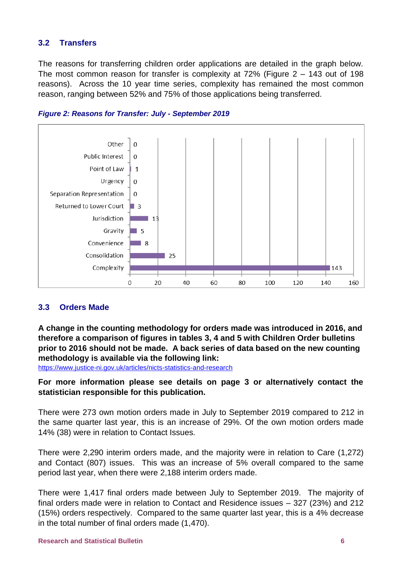# <span id="page-9-0"></span>**3.2 Transfers**

The reasons for transferring children order applications are detailed in the graph below. The most common reason for transfer is complexity at 72% (Figure 2 – 143 out of 198 reasons). Across the 10 year time series, complexity has remained the most common reason, ranging between 52% and 75% of those applications being transferred.



#### <span id="page-9-2"></span>*Figure 2: Reasons for Transfer: July - September 2019*

#### <span id="page-9-1"></span>**3.3 Orders Made**

**A change in the counting methodology for orders made was introduced in 2016, and therefore a comparison of figures in tables 3, 4 and 5 with Children Order bulletins prior to 2016 should not be made. A back series of data based on the new counting methodology is available via the following link:** 

<https://www.justice-ni.gov.uk/articles/nicts-statistics-and-research>

**For more information please see details on page 3 or alternatively contact the statistician responsible for this publication.**

There were 273 own motion orders made in July to September 2019 compared to 212 in the same quarter last year, this is an increase of 29%. Of the own motion orders made 14% (38) were in relation to Contact Issues.

There were 2,290 interim orders made, and the majority were in relation to Care (1,272) and Contact (807) issues. This was an increase of 5% overall compared to the same period last year, when there were 2,188 interim orders made.

There were 1,417 final orders made between July to September 2019. The majority of final orders made were in relation to Contact and Residence issues – 327 (23%) and 212 (15%) orders respectively. Compared to the same quarter last year, this is a 4% decrease in the total number of final orders made (1,470).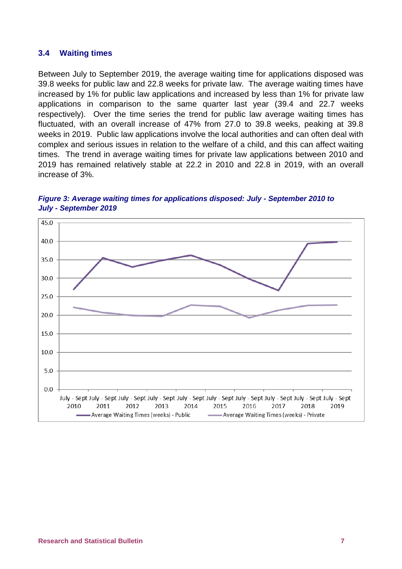#### <span id="page-10-0"></span>**3.4 Waiting times**

Between July to September 2019, the average waiting time for applications disposed was 39.8 weeks for public law and 22.8 weeks for private law. The average waiting times have increased by 1% for public law applications and increased by less than 1% for private law applications in comparison to the same quarter last year (39.4 and 22.7 weeks respectively). Over the time series the trend for public law average waiting times has fluctuated, with an overall increase of 47% from 27.0 to 39.8 weeks, peaking at 39.8 weeks in 2019. Public law applications involve the local authorities and can often deal with complex and serious issues in relation to the welfare of a child, and this can affect waiting times. The trend in average waiting times for private law applications between 2010 and 2019 has remained relatively stable at 22.2 in 2010 and 22.8 in 2019, with an overall increase of 3%.

<span id="page-10-1"></span>

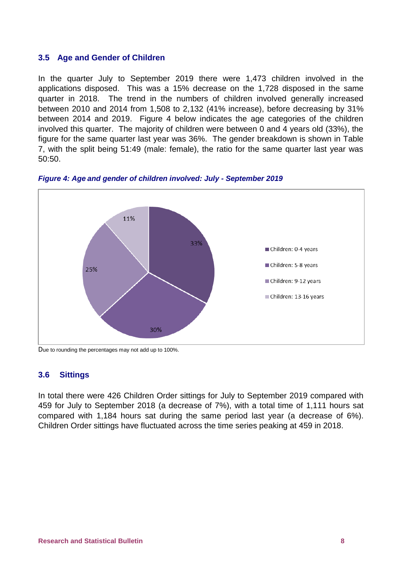#### <span id="page-11-0"></span>**3.5 Age and Gender of Children**

In the quarter July to September 2019 there were 1,473 children involved in the applications disposed. This was a 15% decrease on the 1,728 disposed in the same quarter in 2018. The trend in the numbers of children involved generally increased between 2010 and 2014 from 1,508 to 2,132 (41% increase), before decreasing by 31% between 2014 and 2019. Figure 4 below indicates the age categories of the children involved this quarter. The majority of children were between 0 and 4 years old (33%), the figure for the same quarter last year was 36%. The gender breakdown is shown in Table 7, with the split being 51:49 (male: female), the ratio for the same quarter last year was 50:50.



<span id="page-11-2"></span>*Figure 4: Age and gender of children involved: July - September 2019*

Due to rounding the percentages may not add up to 100%.

#### <span id="page-11-1"></span>**3.6 Sittings**

In total there were 426 Children Order sittings for July to September 2019 compared with 459 for July to September 2018 (a decrease of 7%), with a total time of 1,111 hours sat compared with 1,184 hours sat during the same period last year (a decrease of 6%). Children Order sittings have fluctuated across the time series peaking at 459 in 2018.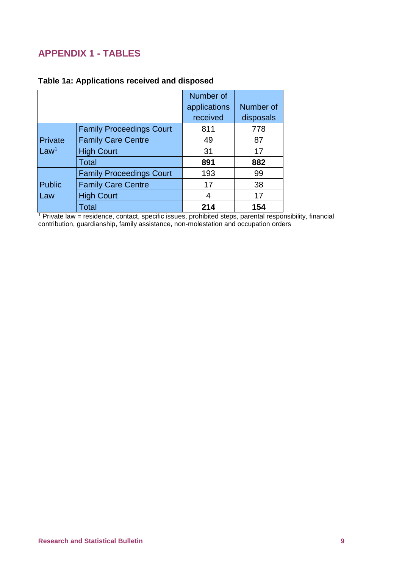# <span id="page-12-0"></span>**APPENDIX 1 - TABLES**

|                  |                                 | Number of    |           |
|------------------|---------------------------------|--------------|-----------|
|                  |                                 | applications | Number of |
|                  |                                 | received     | disposals |
|                  | <b>Family Proceedings Court</b> | 811          | 778       |
| Private          | <b>Family Care Centre</b>       | 49           | 87        |
| Law <sup>1</sup> | <b>High Court</b>               | 31           | 17        |
|                  | Total                           | 891          | 882       |
|                  | <b>Family Proceedings Court</b> | 193          | 99        |
| <b>Public</b>    | <b>Family Care Centre</b>       | 17           | 38        |
| Law              | <b>High Court</b>               | 4            | 17        |
|                  | Total                           | 214          | 154       |

## <span id="page-12-1"></span>**Table 1a: Applications received and disposed**

<sup>1</sup> Private law = residence, contact, specific issues, prohibited steps, parental responsibility, financial contribution, guardianship, family assistance, non-molestation and occupation orders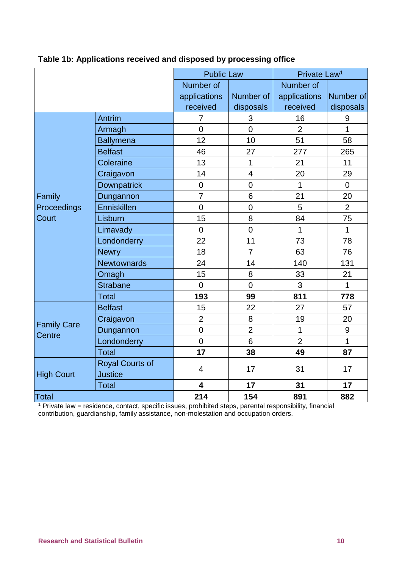|                    |                        | <b>Public Law</b>       |                 | Private Law <sup>1</sup> |                  |
|--------------------|------------------------|-------------------------|-----------------|--------------------------|------------------|
|                    |                        | Number of               |                 | Number of                |                  |
|                    |                        | applications            | Number of       | applications             | Number of        |
|                    |                        | received                | disposals       | received                 | disposals        |
|                    | Antrim                 | 7                       | 3               | 16                       | $\boldsymbol{9}$ |
|                    | Armagh                 | $\overline{0}$          | $\overline{0}$  | $\overline{2}$           | $\mathbf{1}$     |
|                    | <b>Ballymena</b>       | 12                      | 10              | 51                       | 58               |
|                    | <b>Belfast</b>         | 46                      | 27              | 277                      | 265              |
|                    | Coleraine              | 13                      | 1               | 21                       | 11               |
|                    | Craigavon              | 14                      | $\overline{4}$  | 20                       | 29               |
|                    | <b>Downpatrick</b>     | $\overline{0}$          | $\overline{0}$  | 1                        | $\overline{0}$   |
| Family             | Dungannon              | $\overline{7}$          | $6\phantom{1}6$ | 21                       | 20               |
| Proceedings        | Enniskillen            | $\mathbf 0$             | $\mathbf 0$     | 5                        | $\overline{2}$   |
| Court              | Lisburn                | 15                      | 8               | 84                       | 75               |
|                    | Limavady               | $\overline{0}$          | $\overline{0}$  | $\mathbf{1}$             | $\mathbf{1}$     |
|                    | Londonderry            | 22                      | 11              | 73                       | 78               |
|                    | <b>Newry</b>           | 18                      | $\overline{7}$  | 63                       | 76               |
|                    | <b>Newtownards</b>     | 24                      | 14              | 140                      | 131              |
|                    | Omagh                  | 15                      | 8               | 33                       | 21               |
|                    | <b>Strabane</b>        | $\overline{0}$          | $\overline{0}$  | 3                        | $\mathbf{1}$     |
|                    | <b>Total</b>           | 193                     | 99              | 811                      | 778              |
|                    | <b>Belfast</b>         | 15                      | 22              | 27                       | 57               |
| <b>Family Care</b> | Craigavon              | $\overline{2}$          | 8               | 19                       | 20               |
| Centre             | Dungannon              | $\mathbf 0$             | $\overline{2}$  | 1                        | $\boldsymbol{9}$ |
|                    | Londonderry            | $\overline{0}$          | $6\phantom{1}6$ | $\overline{2}$           | $\mathbf{1}$     |
|                    | <b>Total</b>           | 17                      | 38              | 49                       | 87               |
|                    | <b>Royal Courts of</b> | $\overline{4}$          | 17              | 31                       | 17               |
| <b>High Court</b>  | <b>Justice</b>         |                         |                 |                          |                  |
|                    | <b>Total</b>           | $\overline{\mathbf{4}}$ | 17              | 31                       | 17               |
| Total              |                        | 214                     | 154             | 891                      | 882              |

# <span id="page-13-0"></span>**Table 1b: Applications received and disposed by processing office**

<sup>1</sup> Private law = residence, contact, specific issues, prohibited steps, parental responsibility, financial contribution, guardianship, family assistance, non-molestation and occupation orders.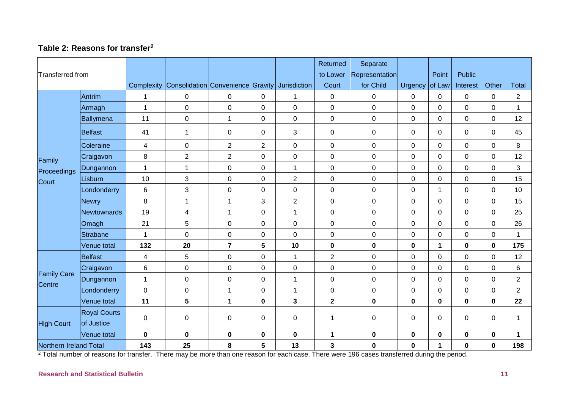## **Table 2: Reasons for transfer<sup>2</sup>**

| <b>Transferred from</b>      |                                   |                | Complexity Consolidation Convenience Gravity |                |                         | <b>Jurisdiction</b> | Returned<br>to Lower<br>Court | Separate<br>Representation<br>for Child | <b>Urgency</b> | Point<br>of Law      | <b>Public</b><br>Interest | Other          | <b>Total</b>         |
|------------------------------|-----------------------------------|----------------|----------------------------------------------|----------------|-------------------------|---------------------|-------------------------------|-----------------------------------------|----------------|----------------------|---------------------------|----------------|----------------------|
|                              | Antrim                            | $\mathbf 1$    | $\pmb{0}$                                    | 0              | $\mathbf 0$             | 1                   | $\mathbf 0$                   | 0                                       | 0              | 0                    | 0                         | $\Omega$       | $\overline{2}$       |
|                              | Armagh                            | $\overline{1}$ | $\pmb{0}$                                    | $\pmb{0}$      | $\pmb{0}$               | 0                   | $\pmb{0}$                     | $\pmb{0}$                               | 0              | 0                    | 0                         | 0              | 1                    |
|                              | Ballymena                         | 11             | $\mathbf 0$                                  | $\mathbf{1}$   | $\mathbf 0$             | 0                   | $\mathbf 0$                   | $\mathbf 0$                             | $\overline{0}$ | 0                    | $\overline{0}$            | $\Omega$       | 12                   |
|                              | <b>Belfast</b>                    | 41             | $\mathbf 1$                                  | $\pmb{0}$      | $\pmb{0}$               | 3                   | $\pmb{0}$                     | $\mathbf 0$                             | $\mathbf 0$    | 0                    | 0                         | $\mathbf 0$    | 45                   |
|                              | Coleraine                         | 4              | $\pmb{0}$                                    | $\overline{2}$ | $\overline{2}$          | 0                   | $\mathbf 0$                   | $\mathbf 0$                             | 0              | 0                    | 0                         | $\Omega$       | 8                    |
| Family                       | Craigavon                         | 8              | $\sqrt{2}$                                   | $\overline{2}$ | $\pmb{0}$               | 0                   | 0                             | $\pmb{0}$                               | 0              | 0                    | 0                         | 0              | 12                   |
| Proceedings                  | Dungannon                         | $\overline{1}$ | $\mathbf{1}$                                 | $\pmb{0}$      | $\mathbf 0$             | $\mathbf{1}$        | $\mathbf 0$                   | $\mathbf 0$                             | 0              | 0                    | $\mathbf 0$               | $\Omega$       | 3                    |
| Court                        | Lisburn                           | 10             | $\mathfrak{S}$                               | $\pmb{0}$      | $\pmb{0}$               | $\overline{2}$      | $\boldsymbol{0}$              | $\pmb{0}$                               | 0              | 0                    | 0                         | $\overline{0}$ | 15                   |
|                              | Londonderry                       | 6              | $\mathfrak{S}$                               | $\mathsf 0$    | $\mathbf 0$             | $\mathbf 0$         | $\mathbf 0$                   | $\mathbf 0$                             | $\overline{0}$ | $\blacktriangleleft$ | $\overline{0}$            | $\mathbf{0}$   | 10                   |
|                              | <b>Newry</b>                      | $\,8\,$        | $\overline{1}$                               | $\mathbf{1}$   | $\mathfrak{S}$          | $\overline{2}$      | $\pmb{0}$                     | $\mathbf 0$                             | 0              | 0                    | 0                         | $\mathbf 0$    | 15                   |
|                              | Newtownards                       | 19             | $\overline{\mathbf{4}}$                      | $\mathbf{1}$   | $\pmb{0}$               | $\mathbf{1}$        | $\pmb{0}$                     | $\pmb{0}$                               | 0              | 0                    | $\overline{0}$            | $\mathbf 0$    | 25                   |
|                              | Omagh                             | 21             | 5                                            | $\pmb{0}$      | $\pmb{0}$               | 0                   | 0                             | $\mathbf 0$                             | 0              | 0                    | 0                         | 0              | 26                   |
|                              | <b>Strabane</b>                   | $\overline{1}$ | $\mathbf 0$                                  | $\pmb{0}$      | $\pmb{0}$               | 0                   | $\mathbf 0$                   | $\mathbf 0$                             | 0              | 0                    | 0                         | 0              | -1                   |
|                              | Venue total                       | 132            | 20                                           | $\overline{7}$ | $\overline{\mathbf{5}}$ | 10                  | $\mathbf 0$                   | $\mathbf 0$                             | $\mathbf 0$    | 1                    | $\mathbf 0$               | $\mathbf 0$    | 175                  |
|                              | <b>Belfast</b>                    | $\overline{4}$ | $\overline{5}$                               | $\pmb{0}$      | $\pmb{0}$               | 1                   | $\overline{2}$                | $\pmb{0}$                               | 0              | 0                    | 0                         | 0              | 12                   |
|                              | Craigavon                         | $\,6\,$        | $\pmb{0}$                                    | $\mathsf 0$    | $\pmb{0}$               | 0                   | $\mathsf 0$                   | $\pmb{0}$                               | 0              | 0                    | 0                         | $\mathbf 0$    | 6                    |
| <b>Family Care</b><br>Centre | Dungannon                         | $\overline{1}$ | $\mathbf 0$                                  | $\pmb{0}$      | $\mathbf 0$             | $\mathbf{1}$        | $\mathbf 0$                   | $\mathbf 0$                             | 0              | 0                    | $\overline{0}$            | $\mathbf 0$    | $\overline{2}$       |
|                              | Londonderry                       | $\pmb{0}$      | $\pmb{0}$                                    | 1              | $\pmb{0}$               | $\mathbf{1}$        | $\mathsf 0$                   | $\pmb{0}$                               | 0              | 0                    | 0                         | 0              | $\overline{2}$       |
|                              | Venue total                       | 11             | $5\phantom{.0}$                              | $\mathbf 1$    | $\mathbf 0$             | 3                   | $\mathbf{2}$                  | $\mathbf 0$                             | 0              | $\mathbf 0$          | $\mathbf 0$               | $\mathbf 0$    | 22                   |
| <b>High Court</b>            | <b>Royal Courts</b><br>of Justice | $\mathbf 0$    | $\mathbf 0$                                  | $\mathbf 0$    | 0                       | 0                   | 1                             | 0                                       | $\Omega$       | 0                    | $\Omega$                  | $\Omega$       | $\mathbf 1$          |
|                              | Venue total                       | $\mathbf 0$    | $\bf{0}$                                     | $\pmb{0}$      | $\pmb{0}$               | $\mathbf 0$         | 1                             | $\mathbf 0$                             | $\mathbf 0$    | $\mathbf 0$          | $\mathbf 0$               | $\mathbf 0$    | $\blacktriangleleft$ |
| Northern Ireland Total       |                                   | 143            | 25                                           | 8              | $\overline{\mathbf{5}}$ | 13                  | 3                             | $\mathbf 0$                             | 0              | 1                    | $\mathbf 0$               | 0              | 198                  |

<span id="page-14-0"></span><sup>2</sup> Total number of reasons for transfer. There may be more than one reason for each case. There were 196 cases transferred during the period.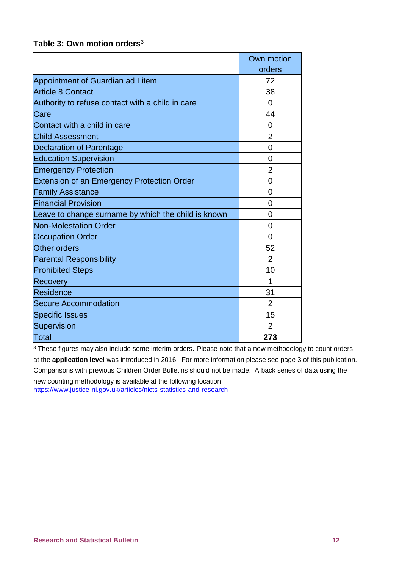<span id="page-15-0"></span>

| Table 3: Own motion orders <sup>3</sup> |  |  |  |
|-----------------------------------------|--|--|--|
|-----------------------------------------|--|--|--|

|                                                     | Own motion     |
|-----------------------------------------------------|----------------|
|                                                     | orders         |
| Appointment of Guardian ad Litem                    | 72             |
| <b>Article 8 Contact</b>                            | 38             |
| Authority to refuse contact with a child in care    | $\overline{0}$ |
| Care                                                | 44             |
| Contact with a child in care                        | $\overline{0}$ |
| <b>Child Assessment</b>                             | $\overline{2}$ |
| <b>Declaration of Parentage</b>                     | 0              |
| <b>Education Supervision</b>                        | 0              |
| <b>Emergency Protection</b>                         | $\overline{2}$ |
| <b>Extension of an Emergency Protection Order</b>   | $\overline{0}$ |
| <b>Family Assistance</b>                            | 0              |
| <b>Financial Provision</b>                          | 0              |
| Leave to change surname by which the child is known | 0              |
| <b>Non-Molestation Order</b>                        | $\overline{0}$ |
| <b>Occupation Order</b>                             | $\overline{0}$ |
| Other orders                                        | 52             |
| <b>Parental Responsibility</b>                      | $\overline{2}$ |
| <b>Prohibited Steps</b>                             | 10             |
| Recovery                                            | 1              |
| Residence                                           | 31             |
| <b>Secure Accommodation</b>                         | $\overline{2}$ |
| <b>Specific Issues</b>                              | 15             |
| Supervision                                         | $\overline{2}$ |
| Total                                               | 273            |

<sup>3</sup> These figures may also include some interim orders. Please note that a new methodology to count orders at the **application level** was introduced in 2016. For more information please see page 3 of this publication. Comparisons with previous Children Order Bulletins should not be made. A back series of data using the

new counting methodology is available at the following location: <https://www.justice-ni.gov.uk/articles/nicts-statistics-and-research>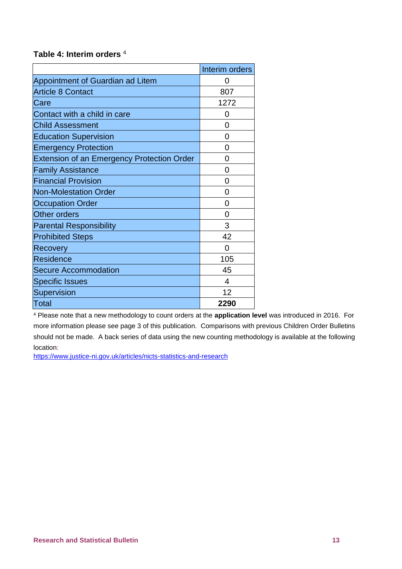### <span id="page-16-0"></span>**Table 4: Interim orders** <sup>4</sup>

|                                                   | Interim orders |
|---------------------------------------------------|----------------|
| Appointment of Guardian ad Litem                  | $\mathbf{O}$   |
| <b>Article 8 Contact</b>                          | 807            |
| Care                                              | 1272           |
| Contact with a child in care                      | 0              |
| <b>Child Assessment</b>                           | 0              |
| <b>Education Supervision</b>                      | 0              |
| <b>Emergency Protection</b>                       | 0              |
| <b>Extension of an Emergency Protection Order</b> | 0              |
| <b>Family Assistance</b>                          | 0              |
| <b>Financial Provision</b>                        | 0              |
| <b>Non-Molestation Order</b>                      | 0              |
| <b>Occupation Order</b>                           | 0              |
| <b>Other orders</b>                               | 0              |
| <b>Parental Responsibility</b>                    | 3              |
| <b>Prohibited Steps</b>                           | 42             |
| Recovery                                          | 0              |
| <b>Residence</b>                                  | 105            |
| <b>Secure Accommodation</b>                       | 45             |
| <b>Specific Issues</b>                            | 4              |
| Supervision                                       | 12             |
| <b>Total</b>                                      | 2290           |

<sup>4</sup> Please note that a new methodology to count orders at the **application level** was introduced in 2016. For more information please see page 3 of this publication. Comparisons with previous Children Order Bulletins should not be made. A back series of data using the new counting methodology is available at the following location:

<https://www.justice-ni.gov.uk/articles/nicts-statistics-and-research>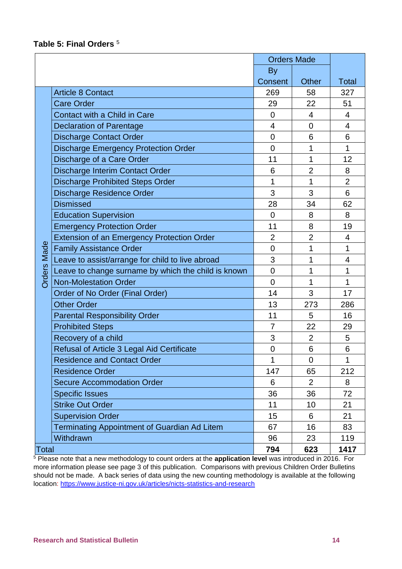#### <span id="page-17-0"></span>**Table 5: Final Orders** <sup>5</sup>

|                    |                                                     | <b>Orders Made</b> |                |                |
|--------------------|-----------------------------------------------------|--------------------|----------------|----------------|
|                    |                                                     | <b>By</b>          |                |                |
|                    |                                                     | Consent            | <b>Other</b>   | Total          |
|                    | <b>Article 8 Contact</b>                            | 269                | 58             | 327            |
|                    | <b>Care Order</b>                                   | 29                 | 22             | 51             |
|                    | Contact with a Child in Care                        | $\overline{0}$     | 4              | 4              |
|                    | <b>Declaration of Parentage</b>                     | 4                  | $\overline{0}$ | $\overline{4}$ |
|                    | <b>Discharge Contact Order</b>                      | $\overline{0}$     | 6              | 6              |
|                    | <b>Discharge Emergency Protection Order</b>         | $\overline{0}$     | 1              | 1              |
|                    | Discharge of a Care Order                           | 11                 | 1              | 12             |
|                    | Discharge Interim Contact Order                     | 6                  | $\overline{2}$ | 8              |
|                    | <b>Discharge Prohibited Steps Order</b>             | 1                  | 1              | $\overline{2}$ |
|                    | <b>Discharge Residence Order</b>                    | 3                  | 3              | 6              |
|                    | <b>Dismissed</b>                                    | 28                 | 34             | 62             |
|                    | <b>Education Supervision</b>                        | $\overline{0}$     | 8              | 8              |
|                    | <b>Emergency Protection Order</b>                   | 11                 | 8              | 19             |
|                    | <b>Extension of an Emergency Protection Order</b>   | $\overline{2}$     | $\overline{2}$ | 4              |
| <b>Orders Made</b> | <b>Family Assistance Order</b>                      | $\overline{0}$     | 1              | 1              |
|                    | Leave to assist/arrange for child to live abroad    | 3                  | 1              | 4              |
|                    | Leave to change surname by which the child is known | $\overline{0}$     | 1              | 1              |
|                    | <b>Non-Molestation Order</b>                        | $\overline{0}$     | 1              | 1              |
|                    | Order of No Order (Final Order)                     | 14                 | 3              | 17             |
|                    | <b>Other Order</b>                                  | 13                 | 273            | 286            |
|                    | <b>Parental Responsibility Order</b>                | 11                 | 5              | 16             |
|                    | <b>Prohibited Steps</b>                             | $\overline{7}$     | 22             | 29             |
|                    | Recovery of a child                                 | 3                  | $\overline{2}$ | 5              |
|                    | <b>Refusal of Article 3 Legal Aid Certificate</b>   | $\overline{0}$     | 6              | 6              |
|                    | <b>Residence and Contact Order</b>                  | 1                  | 0              | 1              |
|                    | <b>Residence Order</b>                              | 147                | 65             | 212            |
|                    | <b>Secure Accommodation Order</b>                   | 6                  | $\overline{2}$ | 8              |
|                    | <b>Specific Issues</b>                              | 36                 | 36             | 72             |
|                    | <b>Strike Out Order</b>                             | 11                 | 10             | 21             |
|                    | <b>Supervision Order</b>                            | 15                 | 6              | 21             |
|                    | <b>Terminating Appointment of Guardian Ad Litem</b> | 67                 | 16             | 83             |
|                    | Withdrawn                                           | 96                 | 23             | 119            |
| Total              |                                                     | 794                | 623            | 1417           |

<sup>5</sup> Please note that a new methodology to count orders at the **application level** was introduced in 2016. For more information please see page 3 of this publication. Comparisons with previous Children Order Bulletins should not be made. A back series of data using the new counting methodology is available at the following location:<https://www.justice-ni.gov.uk/articles/nicts-statistics-and-research>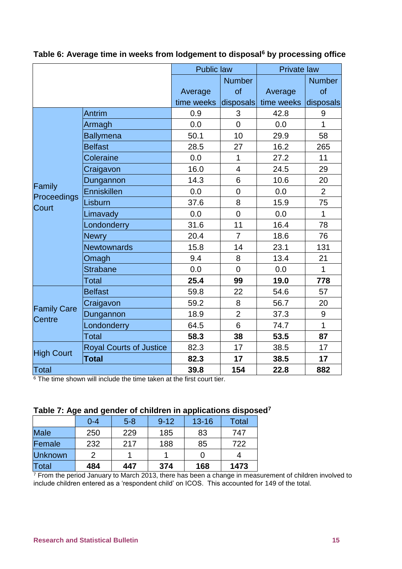|                              |                                                 | <b>Public law</b>     |                         | <b>Private law</b>   |                |  |
|------------------------------|-------------------------------------------------|-----------------------|-------------------------|----------------------|----------------|--|
|                              |                                                 |                       | <b>Number</b>           |                      | <b>Number</b>  |  |
|                              |                                                 | Average               | of                      | Average              | of             |  |
|                              |                                                 | time weeks            | disposals               | time weeks disposals |                |  |
|                              | Antrim                                          | 0.9                   | 3                       | 42.8                 | $9$            |  |
|                              | Armagh                                          | 0.0                   | $\overline{0}$          | 0.0                  | $\overline{1}$ |  |
|                              | <b>Ballymena</b>                                | 50.1                  | 10                      | 29.9                 | 58             |  |
|                              | <b>Belfast</b>                                  | 28.5                  | 27                      | 16.2                 | 265            |  |
|                              | Coleraine                                       | 0.0                   | 1                       | 27.2                 | 11             |  |
|                              | Craigavon                                       | 16.0                  | $\overline{\mathbf{4}}$ | 24.5                 | 29             |  |
|                              | Dungannon                                       | 14.3                  | 6                       | 10.6                 | 20             |  |
| Family                       | <b>Enniskillen</b>                              | 0.0                   | $\overline{0}$          | 0.0                  | $\overline{2}$ |  |
| Proceedings<br><b>Court</b>  | Lisburn                                         | 37.6                  | 8                       | 15.9                 | 75             |  |
|                              | Limavady                                        | 0.0                   | $\overline{0}$          | 0.0                  | $\overline{1}$ |  |
|                              | Londonderry                                     | 31.6                  | 11                      | 16.4                 | 78             |  |
|                              | <b>Newry</b>                                    | 20.4                  | 7                       | 18.6                 | 76             |  |
|                              | <b>Newtownards</b>                              | 15.8                  | 14                      | 23.1                 | 131            |  |
|                              | Omagh                                           | 9.4                   | 8                       | 13.4                 | 21             |  |
|                              | <b>Strabane</b>                                 | 0.0                   | $\overline{0}$          | 0.0                  | $\mathbf{1}$   |  |
|                              | <b>Total</b>                                    | 25.4                  | 99                      | 19.0                 | 778            |  |
|                              | <b>Belfast</b>                                  | 59.8                  | 22                      | 54.6                 | 57             |  |
|                              | Craigavon                                       | 59.2                  | 8                       | 56.7                 | 20             |  |
| <b>Family Care</b><br>Centre | Dungannon                                       | 18.9                  | $\overline{2}$          | 37.3                 | 9              |  |
|                              | Londonderry                                     | 64.5                  | 6                       | 74.7                 | $\overline{1}$ |  |
|                              | Total                                           | 58.3                  | 38                      | 53.5                 | 87             |  |
| <b>High Court</b>            | <b>Royal Courts of Justice</b>                  | 82.3                  | 17                      | 38.5                 | 17             |  |
|                              | <b>Total</b>                                    | 82.3                  | 17                      | 38.5                 | 17             |  |
| Total<br>$c =$               | <b>PHONE CONTRACTOR</b><br>$\sim$<br>$\sim$ 1.1 | 39.8<br>$\sim$ $\sim$ | 154                     | 22.8                 | 882            |  |

<span id="page-18-0"></span>**Table 6: Average time in weeks from lodgement to disposal<sup>6</sup> by processing office**

<sup>6</sup> The time shown will include the time taken at the first court tier.

<span id="page-18-1"></span>

|                | $0 - 4$ | $5 - 8$ | $9 - 12$ | $13 - 16$ | Total |
|----------------|---------|---------|----------|-----------|-------|
| <b>Male</b>    | 250     | 229     | 185      | 83        | 747   |
| Female         | 232     | 217     | 188      | 85        | 722   |
| <b>Unknown</b> | っ       |         |          |           |       |
| Total          | 484     | 447     | 374      | 168       | 1473  |

 $7$  From the period January to March 2013, there has been a change in measurement of children involved to include children entered as a 'respondent child' on ICOS. This accounted for 149 of the total.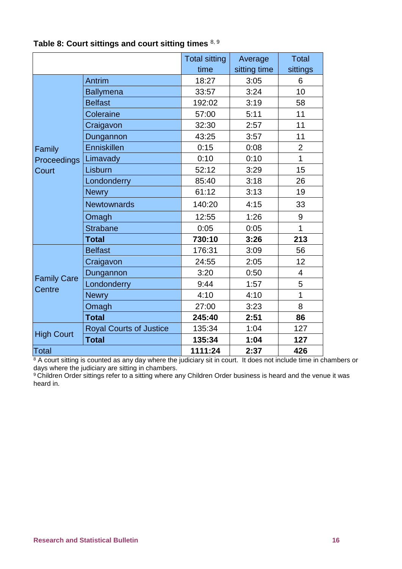|                                       |                                | <b>Total sitting</b> | Average      | <b>Total</b>   |
|---------------------------------------|--------------------------------|----------------------|--------------|----------------|
|                                       |                                | time                 | sitting time | sittings       |
| Family<br><b>Proceedings</b><br>Court | Antrim                         | 18:27                | 3:05         | 6              |
|                                       | <b>Ballymena</b>               | 33:57                | 3:24         | 10             |
|                                       | <b>Belfast</b>                 | 192:02               | 3:19         | 58             |
|                                       | Coleraine                      | 57:00                | 5:11         | 11             |
|                                       | Craigavon                      | 32:30                | 2:57         | 11             |
|                                       | Dungannon                      | 43:25                | 3:57         | 11             |
|                                       | Enniskillen                    | 0:15                 | 0:08         | $\overline{2}$ |
|                                       | Limavady                       | 0:10                 | 0:10         | $\overline{1}$ |
|                                       | Lisburn                        | 52:12                | 3:29         | 15             |
|                                       | Londonderry                    | 85:40                | 3:18         | 26             |
|                                       | <b>Newry</b>                   | 61:12                | 3:13         | 19             |
|                                       | <b>Newtownards</b>             | 140:20               | 4:15         | 33             |
|                                       | Omagh                          | 12:55                | 1:26         | 9              |
|                                       | <b>Strabane</b>                | 0:05                 | 0:05         | $\mathbf{1}$   |
|                                       | <b>Total</b>                   | 730:10               | 3:26         | 213            |
| <b>Family Care</b><br>Centre          | <b>Belfast</b>                 | 176:31               | 3:09         | 56             |
|                                       | Craigavon                      | 24:55                | 2:05         | 12             |
|                                       | Dungannon                      | 3:20                 | 0:50         | $\overline{4}$ |
|                                       | Londonderry                    | 9:44                 | 1:57         | 5              |
|                                       | <b>Newry</b>                   | 4:10                 | 4:10         | 1              |
|                                       | Omagh                          | 27:00                | 3:23         | 8              |
|                                       | <b>Total</b>                   | 245:40               | 2:51         | 86             |
| <b>High Court</b>                     | <b>Royal Courts of Justice</b> | 135:34               | 1:04         | 127            |
|                                       | <b>Total</b>                   | 135:34               | 1:04         | 127            |
| <b>Total</b>                          |                                | 1111:24              | 2:37         | 426            |

# <span id="page-19-0"></span>**Table 8: Court sittings and court sitting times** 8, 9

 $8$  A court sitting is counted as any day where the judiciary sit in court. It does not include time in chambers or days where the judiciary are sitting in chambers.

 $^{\rm 9}$ Children Order sittings refer to a sitting where any Children Order business is heard and the venue it was heard in.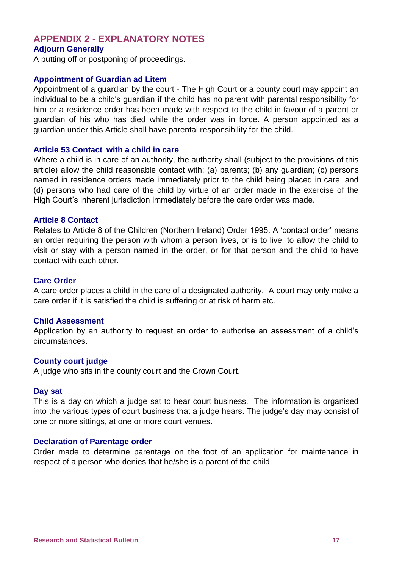#### <span id="page-20-0"></span>**APPENDIX 2 - EXPLANATORY NOTES Adjourn Generally**

A putting off or postponing of proceedings.

#### **Appointment of Guardian ad Litem**

Appointment of a guardian by the court - The High Court or a county court may appoint an individual to be a child's guardian if the child has no parent with parental responsibility for him or a residence order has been made with respect to the child in favour of a parent or guardian of his who has died while the order was in force. A person appointed as a guardian under this Article shall have parental responsibility for the child.

#### **Article 53 Contact with a child in care**

Where a child is in care of an authority, the authority shall (subject to the provisions of this article) allow the child reasonable contact with: (a) parents; (b) any guardian; (c) persons named in residence orders made immediately prior to the child being placed in care; and (d) persons who had care of the child by virtue of an order made in the exercise of the High Court's inherent jurisdiction immediately before the care order was made.

#### **Article 8 Contact**

Relates to Article 8 of the Children (Northern Ireland) Order 1995. A 'contact order' means an order requiring the person with whom a person lives, or is to live, to allow the child to visit or stay with a person named in the order, or for that person and the child to have contact with each other.

#### **Care Order**

A care order places a child in the care of a designated authority. A court may only make a care order if it is satisfied the child is suffering or at risk of harm etc.

#### **Child Assessment**

Application by an authority to request an order to authorise an assessment of a child's circumstances.

#### **County court judge**

A judge who sits in the county court and the Crown Court.

#### **Day sat**

This is a day on which a judge sat to hear court business. The information is organised into the various types of court business that a judge hears. The judge's day may consist of one or more sittings, at one or more court venues.

#### **Declaration of Parentage order**

Order made to determine parentage on the foot of an application for maintenance in respect of a person who denies that he/she is a parent of the child.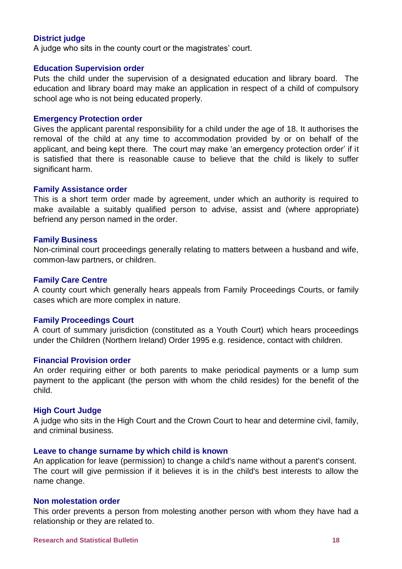#### **District judge**

A judge who sits in the county court or the magistrates' court.

#### **Education Supervision order**

Puts the child under the supervision of a designated education and library board. The education and library board may make an application in respect of a child of compulsory school age who is not being educated properly.

#### **Emergency Protection order**

Gives the applicant parental responsibility for a child under the age of 18. It authorises the removal of the child at any time to accommodation provided by or on behalf of the applicant, and being kept there. The court may make 'an emergency protection order' if it is satisfied that there is reasonable cause to believe that the child is likely to suffer significant harm.

#### **Family Assistance order**

This is a short term order made by agreement, under which an authority is required to make available a suitably qualified person to advise, assist and (where appropriate) befriend any person named in the order.

#### **Family Business**

Non-criminal court proceedings generally relating to matters between a husband and wife, common-law partners, or children.

#### **Family Care Centre**

A county court which generally hears appeals from Family Proceedings Courts, or family cases which are more complex in nature.

#### **Family Proceedings Court**

A court of summary jurisdiction (constituted as a Youth Court) which hears proceedings under the Children (Northern Ireland) Order 1995 e.g. residence, contact with children.

#### **Financial Provision order**

An order requiring either or both parents to make periodical payments or a lump sum payment to the applicant (the person with whom the child resides) for the benefit of the child.

#### **High Court Judge**

A judge who sits in the High Court and the Crown Court to hear and determine civil, family, and criminal business.

#### **Leave to change surname by which child is known**

An application for leave (permission) to change a child's name without a parent's consent. The court will give permission if it believes it is in the child's best interests to allow the name change.

#### **Non molestation order**

This order prevents a person from molesting another person with whom they have had a relationship or they are related to.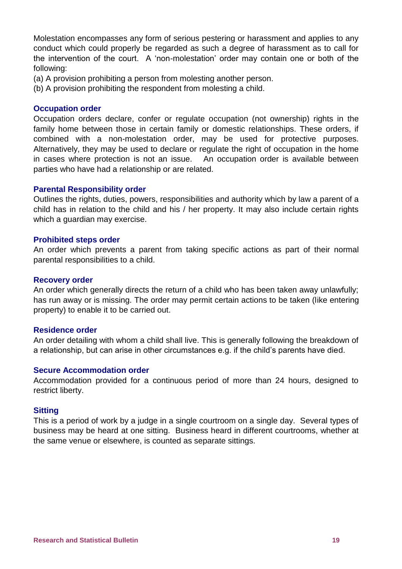Molestation encompasses any form of serious pestering or harassment and applies to any conduct which could properly be regarded as such a degree of harassment as to call for the intervention of the court. A 'non-molestation' order may contain one or both of the following:

(a) A provision prohibiting a person from molesting another person.

(b) A provision prohibiting the respondent from molesting a child.

#### **Occupation order**

Occupation orders declare, confer or regulate occupation (not ownership) rights in the family home between those in certain family or domestic relationships. These orders, if combined with a non-molestation order, may be used for protective purposes. Alternatively, they may be used to declare or regulate the right of occupation in the home in cases where protection is not an issue. An occupation order is available between parties who have had a relationship or are related.

#### **Parental Responsibility order**

Outlines the rights, duties, powers, responsibilities and authority which by law a parent of a child has in relation to the child and his / her property. It may also include certain rights which a guardian may exercise.

#### **Prohibited steps order**

An order which prevents a parent from taking specific actions as part of their normal parental responsibilities to a child.

#### **Recovery order**

An order which generally directs the return of a child who has been taken away unlawfully; has run away or is missing. The order may permit certain actions to be taken (like entering property) to enable it to be carried out.

#### **Residence order**

An order detailing with whom a child shall live. This is generally following the breakdown of a relationship, but can arise in other circumstances e.g. if the child's parents have died.

#### **Secure Accommodation order**

Accommodation provided for a continuous period of more than 24 hours, designed to restrict liberty.

#### **Sitting**

This is a period of work by a judge in a single courtroom on a single day. Several types of business may be heard at one sitting. Business heard in different courtrooms, whether at the same venue or elsewhere, is counted as separate sittings.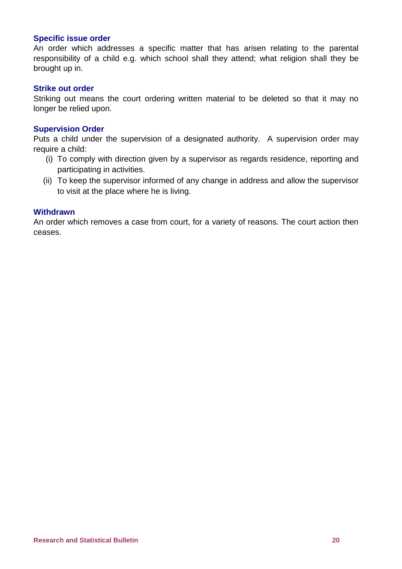#### **Specific issue order**

An order which addresses a specific matter that has arisen relating to the parental responsibility of a child e.g. which school shall they attend; what religion shall they be brought up in.

#### **Strike out order**

Striking out means the court ordering written material to be deleted so that it may no longer be relied upon.

#### **Supervision Order**

Puts a child under the supervision of a designated authority. A supervision order may require a child:

- (i) To comply with direction given by a supervisor as regards residence, reporting and participating in activities.
- (ii) To keep the supervisor informed of any change in address and allow the supervisor to visit at the place where he is living.

#### **Withdrawn**

An order which removes a case from court, for a variety of reasons. The court action then ceases.